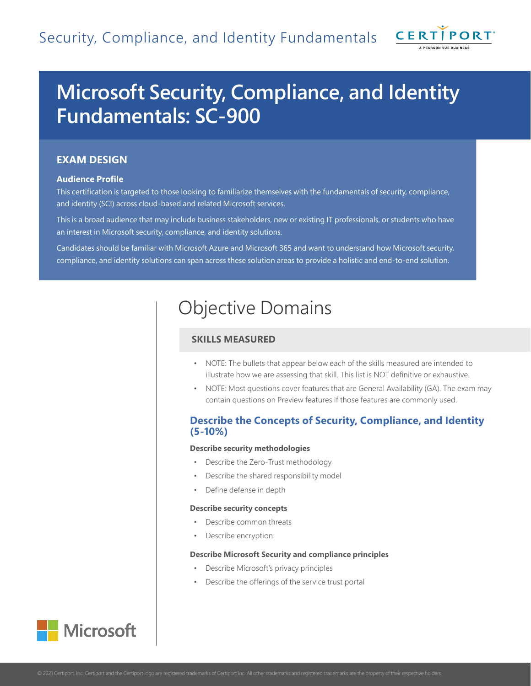

# **Microsoft Security, Compliance, and Identity Fundamentals: SC-900**

## **EXAM DESIGN**

## **Audience Profile**

This certification is targeted to those looking to familiarize themselves with the fundamentals of security, compliance, and identity (SCI) across cloud-based and related Microsoft services.

This is a broad audience that may include business stakeholders, new or existing IT professionals, or students who have an interest in Microsoft security, compliance, and identity solutions.

Candidates should be familiar with Microsoft Azure and Microsoft 365 and want to understand how Microsoft security, compliance, and identity solutions can span across these solution areas to provide a holistic and end-to-end solution.

## Objective Domains

## **SKILLS MEASURED**

- NOTE: The bullets that appear below each of the skills measured are intended to illustrate how we are assessing that skill. This list is NOT definitive or exhaustive.
- NOTE: Most questions cover features that are General Availability (GA). The exam may contain questions on Preview features if those features are commonly used.

## **Describe the Concepts of Security, Compliance, and Identity (5-10%)**

## **Describe security methodologies**

- Describe the Zero-Trust methodology
- Describe the shared responsibility model
- Define defense in depth

#### **Describe security concepts**

- Describe common threats
- Describe encryption

### **Describe Microsoft Security and compliance principles**

- Describe Microsoft's privacy principles
- Describe the offerings of the service trust portal

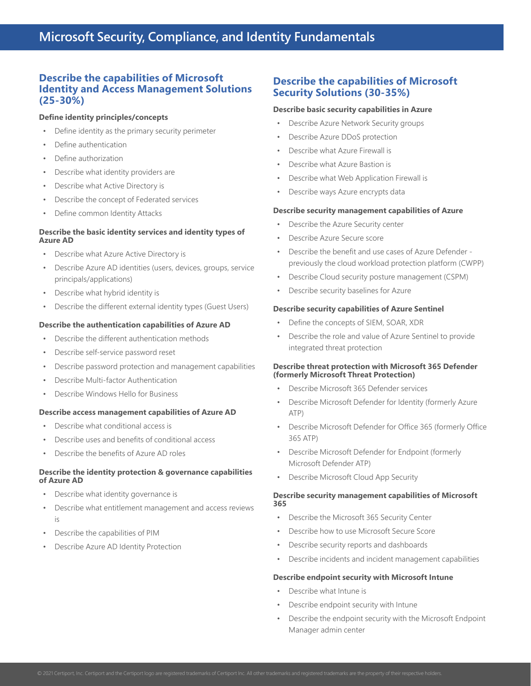## **Describe the capabilities of Microsoft Identity and Access Management Solutions (25-30%)**

## **Define identity principles/concepts**

- Define identity as the primary security perimeter
- Define authentication
- Define authorization
- Describe what identity providers are
- Describe what Active Directory is
- Describe the concept of Federated services
- Define common Identity Attacks

## **Describe the basic identity services and identity types of Azure AD**

- Describe what Azure Active Directory is
- Describe Azure AD identities (users, devices, groups, service principals/applications)
- Describe what hybrid identity is
- Describe the different external identity types (Guest Users)

## **Describe the authentication capabilities of Azure AD**

- Describe the different authentication methods
- Describe self-service password reset
- Describe password protection and management capabilities
- Describe Multi-factor Authentication
- Describe Windows Hello for Business

## **Describe access management capabilities of Azure AD**

- Describe what conditional access is
- Describe uses and benefits of conditional access
- Describe the benefits of Azure AD roles

## **Describe the identity protection & governance capabilities of Azure AD**

- Describe what identity governance is
- Describe what entitlement management and access reviews is
- Describe the capabilities of PIM
- Describe Azure AD Identity Protection

## **Describe the capabilities of Microsoft Security Solutions (30-35%)**

## **Describe basic security capabilities in Azure**

- Describe Azure Network Security groups
- Describe Azure DDoS protection
- Describe what Azure Firewall is
- Describe what Azure Bastion is
- Describe what Web Application Firewall is
- Describe ways Azure encrypts data

## **Describe security management capabilities of Azure**

- Describe the Azure Security center
- Describe Azure Secure score
- Describe the benefit and use cases of Azure Defender previously the cloud workload protection platform (CWPP)
- Describe Cloud security posture management (CSPM)
- Describe security baselines for Azure

## **Describe security capabilities of Azure Sentinel**

- Define the concepts of SIEM, SOAR, XDR
- Describe the role and value of Azure Sentinel to provide integrated threat protection

## **Describe threat protection with Microsoft 365 Defender (formerly Microsoft Threat Protection)**

- Describe Microsoft 365 Defender services
- Describe Microsoft Defender for Identity (formerly Azure ATP)
- Describe Microsoft Defender for Office 365 (formerly Office 365 ATP)
- Describe Microsoft Defender for Endpoint (formerly Microsoft Defender ATP)
- Describe Microsoft Cloud App Security

## **Describe security management capabilities of Microsoft 365**

- Describe the Microsoft 365 Security Center
- Describe how to use Microsoft Secure Score
- Describe security reports and dashboards
- Describe incidents and incident management capabilities

### **Describe endpoint security with Microsoft Intune**

- Describe what Intune is
- Describe endpoint security with Intune
- Describe the endpoint security with the Microsoft Endpoint Manager admin center